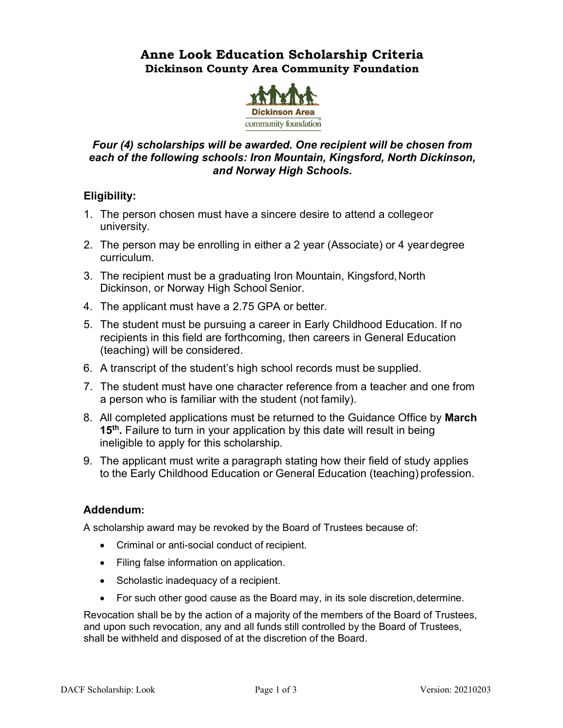## **Anne Look Education Scholarship Criteria Dickinson County Area Community Foundation**



## *Four (4) scholarships will be awarded. One recipient will be chosen from each of the following schools: Iron Mountain, Kingsford, North Dickinson, and Norway High Schools.*

## **Eligibility:**

- 1. The person chosen must have a sincere desire to attend a collegeor university.
- 2. The person may be enrolling in either a 2 year (Associate) or 4 yeardegree curriculum.
- 3. The recipient must be a graduating Iron Mountain, Kingsford,North Dickinson, or Norway High School Senior.
- 4. The applicant must have a 2.75 GPA or better.
- 5. The student must be pursuing a career in Early Childhood Education. If no recipients in this field are forthcoming, then careers in General Education (teaching) will be considered.
- 6. A transcript of the student's high school records must be supplied.
- 7. The student must have one character reference from a teacher and one from a person who is familiar with the student (not family).
- 8. All completed applications must be returned to the Guidance Office by **March 15th.** Failure to turn in your application by this date will result in being ineligible to apply for this scholarship.
- 9. The applicant must write a paragraph stating how their field of study applies to the Early Childhood Education or General Education (teaching) profession.

## **Addendum:**

A scholarship award may be revoked by the Board of Trustees because of:

- Criminal or anti-social conduct of recipient.
- Filing false information on application.
- Scholastic inadequacy of a recipient.
- For such other good cause as the Board may, in its sole discretion, determine.

Revocation shall be by the action of a majority of the members of the Board of Trustees, and upon such revocation, any and all funds still controlled by the Board of Trustees, shall be withheld and disposed of at the discretion of the Board.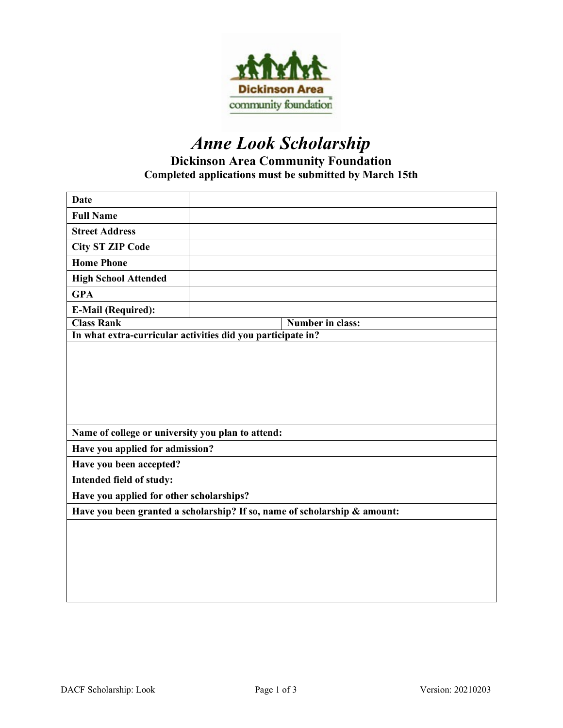

# *Anne Look Scholarship* **Dickinson Area Community Foundation Completed applications must be submitted by March 15th**

| <b>Date</b>                                                               |                         |  |
|---------------------------------------------------------------------------|-------------------------|--|
| <b>Full Name</b>                                                          |                         |  |
| <b>Street Address</b>                                                     |                         |  |
| <b>City ST ZIP Code</b>                                                   |                         |  |
| <b>Home Phone</b>                                                         |                         |  |
| <b>High School Attended</b>                                               |                         |  |
| <b>GPA</b>                                                                |                         |  |
| <b>E-Mail (Required):</b>                                                 |                         |  |
| <b>Class Rank</b>                                                         | <b>Number in class:</b> |  |
| In what extra-curricular activities did you participate in?               |                         |  |
| Name of college or university you plan to attend:                         |                         |  |
| Have you applied for admission?                                           |                         |  |
| Have you been accepted?                                                   |                         |  |
| Intended field of study:                                                  |                         |  |
| Have you applied for other scholarships?                                  |                         |  |
| Have you been granted a scholarship? If so, name of scholarship & amount: |                         |  |
|                                                                           |                         |  |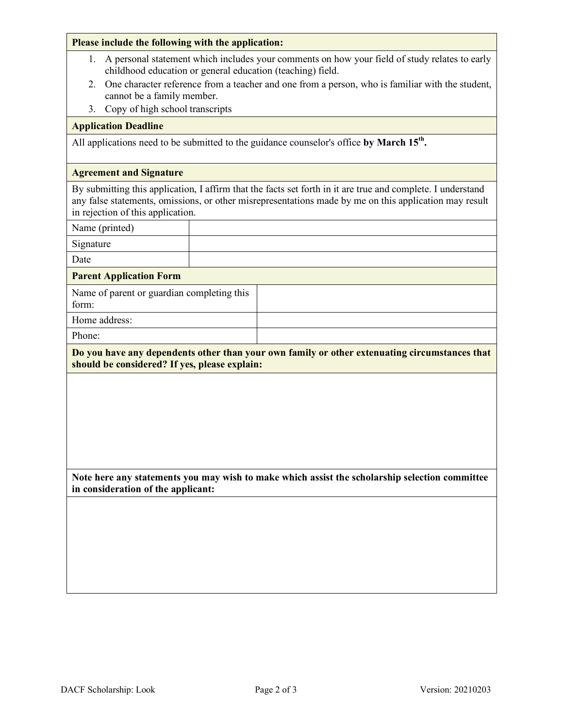#### **Please include the following with the application:**

- 1. A personal statement which includes your comments on how your field of study relates to early childhood education or general education (teaching) field.
- 2. One character reference from a teacher and one from a person, who is familiar with the student, cannot be a family member.
- 3. Copy of high school transcripts

#### **Application Deadline**

All applications need to be submitted to the guidance counselor's office by March 15<sup>th</sup>.

#### **Agreement and Signature**

By submitting this application, I affirm that the facts set forth in it are true and complete. I understand any false statements, omissions, or other misrepresentations made by me on this application may result in rejection of this application.

Name (printed)

Signature

Date

#### **Parent Application Form**

| Name of parent or guardian completing this<br>form: |  |
|-----------------------------------------------------|--|
| Home address:                                       |  |
| Phone:                                              |  |

**Do you have any dependents other than your own family or other extenuating circumstances that should be considered? If yes, please explain:**

**Note here any statements you may wish to make which assist the scholarship selection committee in consideration of the applicant:**